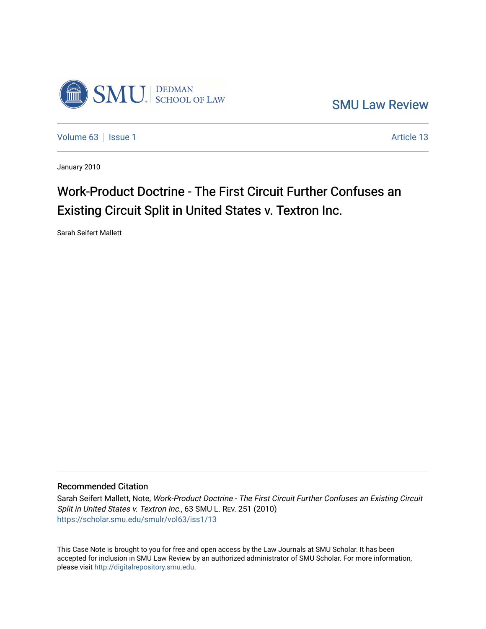

[SMU Law Review](https://scholar.smu.edu/smulr) 

[Volume 63](https://scholar.smu.edu/smulr/vol63) | [Issue 1](https://scholar.smu.edu/smulr/vol63/iss1) Article 13

January 2010

# Work-Product Doctrine - The First Circuit Further Confuses an Existing Circuit Split in United States v. Textron Inc.

Sarah Seifert Mallett

## Recommended Citation

Sarah Seifert Mallett, Note, Work-Product Doctrine - The First Circuit Further Confuses an Existing Circuit Split in United States v. Textron Inc., 63 SMU L. REV. 251 (2010) [https://scholar.smu.edu/smulr/vol63/iss1/13](https://scholar.smu.edu/smulr/vol63/iss1/13?utm_source=scholar.smu.edu%2Fsmulr%2Fvol63%2Fiss1%2F13&utm_medium=PDF&utm_campaign=PDFCoverPages)

This Case Note is brought to you for free and open access by the Law Journals at SMU Scholar. It has been accepted for inclusion in SMU Law Review by an authorized administrator of SMU Scholar. For more information, please visit [http://digitalrepository.smu.edu.](http://digitalrepository.smu.edu/)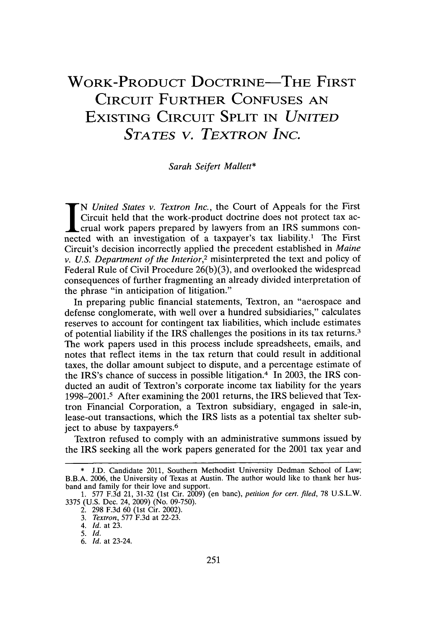## **WORK-PRODUCT DOCTRINE-THE FIRST CIRCUIT FURTHER CONFUSES AN EXISTING CIRCUIT SPLIT IN** *UNITED STATES V. TEXTRON INC.*

#### *Sarah Seifert Mallett\**

*IN United States v. Textron Inc.,* the Court of Appeals for the First Circuit held that the work-product doctrine does not protect tax accrual work papers prepared **by** lawyers from an IRS summons connected with an investigation of a taxpayer's tax liability.' The First Circuit's decision incorrectly applied the precedent established in *Maine v. U.S. Department of the Interior,2* misinterpreted the text and policy of Federal Rule of Civil Procedure **26(b)(3),** and overlooked the widespread consequences of further fragmenting an already divided interpretation of the phrase "in anticipation of litigation."

In preparing public financial statements, Textron, an "aerospace and defense conglomerate, with well over a hundred subsidiaries," calculates reserves to account for contingent tax liabilities, which include estimates of potential liability if the IRS challenges the positions in its tax returns.<sup>3</sup> The work papers used in this process include spreadsheets, emails, and notes that reflect items in the tax return that could result in additional taxes, the dollar amount subject to dispute, and a percentage estimate of the IRS's chance of success in possible litigation.4 In **2003,** the IRS conducted an audit of Textron's corporate income tax liability for the years **1998-2001.5** After examining the 2001 returns, the IRS believed that Textron Financial Corporation, a Textron subsidiary, engaged in sale-in, lease-out transactions, which the IRS lists as a potential tax shelter subject to abuse **by** taxpayers. <sup>6</sup>

Textron refused to comply with an administrative summons issued **by** the IRS seeking all the work papers generated for the 2001 tax year and

**<sup>\*</sup> J.D.** Candidate 2011, Southern Methodist University Dedman School of Law; B.B.A. **2006,** the University of Texas at Austin. The author would like to thank her husband and family for their love and support.

**<sup>1.</sup>** *577* **F.3d** 21, **31-32** (1st Cir. **2009)** (en banc), *petition for cert. filed,* **78 U.S.L.W. 3375 (U.S.** Dec. 24, **2009)** (No. **09-750).**

<sup>2.</sup> **298 F.3d 60** (1st Cir. 2002).

**<sup>3.</sup>** *Textron,* **577 F.3d** at **22-23.**

<sup>4.</sup> *Id.* at **23.**

**<sup>5.</sup>** *Id.*

**<sup>6.</sup>** *Id.* at 23-24.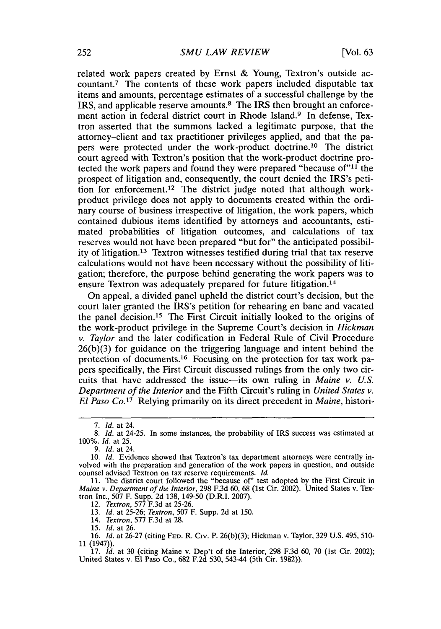related work papers created **by** Ernst **&** Young, Textron's outside accountant.7 The contents of these work papers included disputable tax items and amounts, percentage estimates of a successful challenge **by** the IRS, and applicable reserve amounts.8 The IRS then brought an enforcement action in federal district court in Rhode Island.9 In defense, Textron asserted that the summons lacked a legitimate purpose, that the attorney-client and tax practitioner privileges applied, and that the papers were protected under the work-product doctrine.10 The district court agreed with Textron's position that the work-product doctrine protected the work papers and found they were prepared "because of"<sup>11</sup> the prospect of litigation and, consequently, the court denied the IRS's petition for enforcement.<sup>12</sup> The district judge noted that although workproduct privilege does not apply to documents created within the ordinary course of business irrespective of litigation, the work papers, which contained dubious items identified **by** attorneys and accountants, estimated probabilities of litigation outcomes, and calculations of tax reserves would not have been prepared "but for" the anticipated possibility of litigation.<sup>13</sup> Textron witnesses testified during trial that tax reserve calculations would not have been necessary without the possibility of litigation; therefore, the purpose behind generating the work papers was to ensure Textron was adequately prepared for future litigation. <sup>14</sup>

On appeal, a divided panel upheld the district court's decision, but the court later granted the IRS's petition for rehearing en banc and vacated the panel decision.15 The First Circuit initially looked to the origins of the work-product privilege in the Supreme Court's decision in *Hickman v. Taylor* and the later codification in Federal Rule of Civil Procedure **26(b)(3)** for guidance on the triggering language and intent behind the protection of documents.16 Focusing on the protection for tax work papers specifically, the First Circuit discussed rulings from the only two circuits that have addressed the issue-its own ruling in *Maine v. U.S. Department of the Interior* and the Fifth Circuit's ruling in *United States v. El Paso Co.17* Relying primarily on its direct precedent in *Maine,* histori-

**<sup>7.</sup>** *Id.* at 24.

**<sup>8.</sup>** *Id.* at 24-25. In some instances, the probability of IRS success was estimated at *100%. Id.* at **25.**

**<sup>9.</sup>** *Id.* at 24.

*<sup>10.</sup> Id.* Evidence showed that Textron's tax department attorneys were centrally involved with the preparation and generation of the work papers in question, and outside counsel advised Textron on tax reserve requirements. *Id.*

**<sup>11.</sup>** The district court followed the "because of" test adopted **by** the First Circuit in *Maine v. Department of the Interior,* **298 F.3d 60, 68** (1st Cir. 2002). United States v. Textron Inc., **507** F. Supp. **2d 138,** 149-50 (D.R.I. **2007).**

<sup>12.</sup> *Textron,* **577 F.3d** at **25-26.**

*<sup>13.</sup> Id.* at **25-26;** *Textron,* **507** F. Supp. **2d** at **150.**

<sup>14.</sup> *Textron,* **577 F.3d** at **28.**

*<sup>15.</sup> Id.* at **26.**

**<sup>16.</sup>** *Id.* at **26-27** (citing **FED.** R. Civ. P. **26(b)(3);** Hickman v. Taylor, **329 U.S.** 495, 510- **11** (1947)).

**<sup>17.</sup>** *Id.* at **30** (citing Maine v. Dep't of the Interior, **298 F.3d 60, 70** (1st Cir. 2002); United States v. **El** Paso Co., **682 F.2d 530,** 543-44 (5th Cir. **1982)).**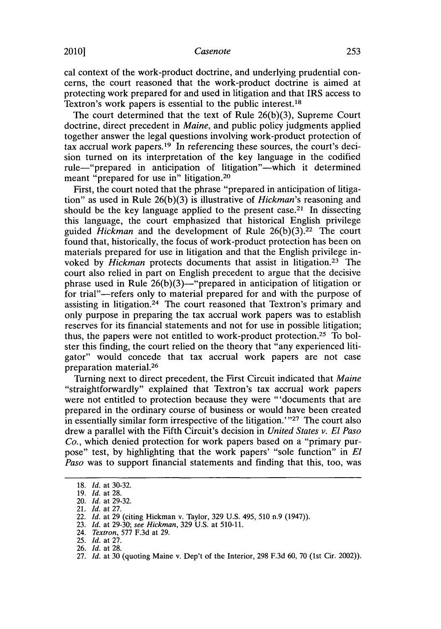## 2010] *Casenote* **253**

cal context of the work-product doctrine, and underlying prudential concerns, the court reasoned that the work-product doctrine is aimed at protecting work prepared for and used in litigation and that IRS access to Textron's work papers is essential to the public interest.<sup>18</sup>

The court determined that the text of Rule **26(b)(3),** Supreme Court doctrine, direct precedent in *Maine,* and public policy judgments applied together answer the legal questions involving work-product protection of tax accrual work papers.19 In referencing these sources, the court's decision turned on its interpretation of the key language in the codified rule-"prepared in anticipation of litigation"-which it determined meant "prepared for use in" litigation. <sup>20</sup>

First, the court noted that the phrase "prepared in anticipation of litigation" as used in Rule **26(b)(3)** is illustrative of *Hickman's* reasoning and should be the key language applied to the present case.<sup>21</sup> In dissecting this language, the court emphasized that historical English privilege guided *Hickman* and the development of Rule 26(b)(3).<sup>22</sup> The court found that, historically, the focus of work-product protection has been on materials prepared for use in litigation and that the English privilege invoked **by** *Hickman* protects documents that assist in litigation.23 'Ihe court also relied in part on English precedent to argue that the decisive phrase used in Rule  $26(b)(3)$ —"prepared in anticipation of litigation or for trial"-refers only to material prepared for and with the purpose of assisting in litigation. 24 The court reasoned that Textron's primary and only purpose in preparing the tax accrual work papers was to establish reserves for its financial statements and not for use in possible litigation; thus, the papers were not entitled to work-product protection.25 To bolster this finding, the court relied on the theory that "any experienced litigator" would concede that tax accrual work papers are not case preparation material. <sup>26</sup>

Turning next to direct precedent, the First Circuit indicated that *Maine* "straightforwardly" explained that Textron's tax accrual work papers were not entitled to protection because they were "'documents that are prepared in the ordinary course of business or would have been created in essentially similar form irrespective of the litigation.<sup>727</sup> The court also drew a parallel with the Fifth Circuit's decision in *United States v. El Paso Co.,* which denied protection for work papers based on a "primary purpose" test, **by** highlighting that the work papers' "sole function" in *El Paso* was to support financial statements and finding that this, too, was

24. *Textron,* **577 F.3d** at **29.**

**<sup>18.</sup>** *Id.* at **30-32.**

**<sup>19.</sup>** *Id.* at **28.**

<sup>20.</sup> *Id.* at **29-32.**

<sup>21.</sup> *Id.* at **27.**

<sup>22.</sup> *Id.* at **29** (citing Hickman v. Taylor, **329 U.S.** 495, **510** n.9 (1947)).

**<sup>23.</sup>** *Id.* at **29-30;** *see Hickman,* **329 U.S.** at **510-11.**

**<sup>25.</sup>** *Id.* at **27.**

**<sup>26.</sup>** *Id.* at **28.**

**<sup>27.</sup>** *Id.* at **30** (quoting Maine v. Dep't of the Interior, **298 F.3d 60, 70** (1st Cir. 2002)).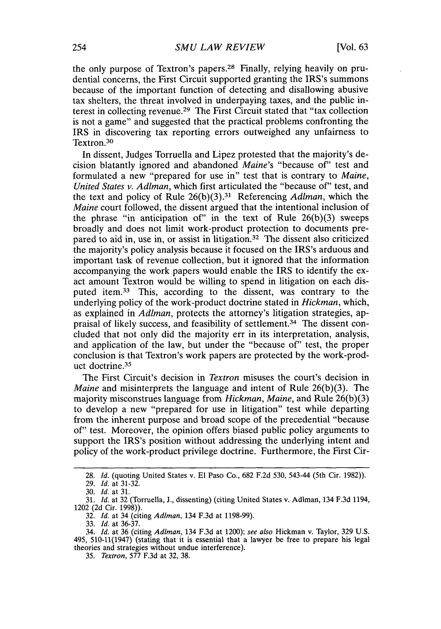the only purpose of Textron's papers.28 Finally, relying heavily on prudential concerns, the First Circuit supported granting the IRS's summons because of the important function of detecting and disallowing abusive tax shelters, the threat involved in underpaying taxes, and the public interest in collecting revenue.<sup>29</sup> The First Circuit stated that "tax collection is not a game" and suggested that the practical problems confronting the IRS in discovering tax reporting errors outweighed any unfairness to Textron.30

In dissent, Judges Torruella and Lipez protested that the majority's decision blatantly ignored and abandoned *Maine's* "because of" test and formulated a new "prepared for use in" test that is contrary to *Maine, United States v. Adlman,* which first articulated the "because of" test, and the text and policy of Rule **26(b)(3). <sup>31</sup>**Referencing *AdIman,* which the *Maine* court followed, the dissent argued that the intentional inclusion of the phrase "in anticipation of" in the text of Rule **26(b)(3)** sweeps broadly and does not limit work-product protection to documents prepared to aid in, use in, or assist in litigation.32 The dissent also criticized the majority's policy analysis because it focused on the IRS's arduous and important task of revenue collection, but it ignored that the information accompanying the work papers would enable the IRS to identify the exact amount Textron would be willing to spend in litigation on each disputed item.<sup>33</sup> This, according to the dissent, was contrary to the underlying policy of the work-product doctrine stated in *Hickman,* which, as explained in *Adiman,* protects the attorney's litigation strategies, appraisal of likely success, and feasibility of settlement.34 The dissent concluded that not only did the majority err in its interpretation, analysis, and application of the law, but under the "because of" test, the proper conclusion is that Textron's work papers are protected **by** the work-product doctrine. <sup>35</sup>

The First Circuit's decision in *Textron* misuses the court's decision in *Maine* and misinterprets the language and intent of Rule **26(b)(3).** The majority misconstrues language from *Hickman, Maine,* and Rule **26(b)(3)** to develop a new "prepared for use in litigation" test while departing from the inherent purpose and broad scope of the precedential "because of" test. Moreover, the opinion offers biased public policy arguments to support the IRS's position without addressing the underlying intent and policy of the work-product privilege doctrine. Furthermore, the First Cir-

**32.** *Id.* at 34 (citing *Adlman,* 134 **F.3d** at **1198-99).**

**33.** *Id.* at **36-37.**

**<sup>28.</sup>** *Id.* (quoting United States v. **El** Paso Co., **682 F.2d** *530, 543-44 (5th* Cir. **1982)).**

**<sup>29.</sup>** *Id.* at **31-32.**

**<sup>30.</sup>** *Id.* at **31.**

**<sup>31.</sup>** *Id.* at **32** (Torruella, **J.,** dissenting) (citing United States v. Adlman, 134 **F.3d** 1194, 1202 **(2d** Cir. **1998)).**

<sup>34.</sup> *Id.* at **36** (citing *Adlman,* 134 **F.3d** at 1200); *see also* Hickman v. Taylor, **329 U.S.** 495, **510-11(1947)** (stating that it is essential that a lawyer be free to prepare his legal theories and strategies without undue interference).

*<sup>35.</sup> Textron,* **577 F.3d** at **32, 38.**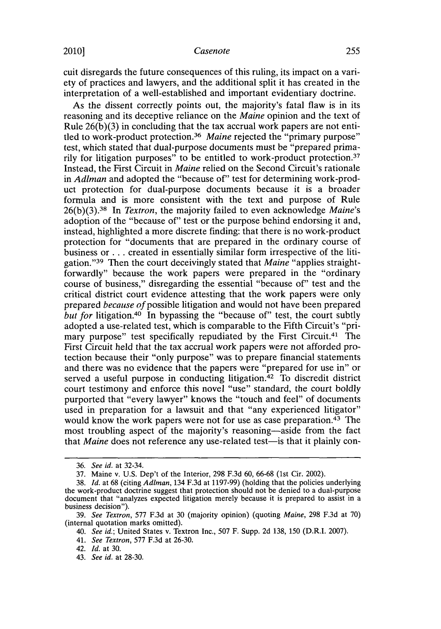## 2010]1 *Casenote* **255**

cuit disregards the future consequences of this ruling, its impact on a variety of practices and lawyers, and the additional split it has created in the interpretation of a well-established and important evidentiary doctrine.

As the dissent correctly points out, the majority's fatal flaw is in its reasoning and its deceptive reliance on the *Maine* opinion and the text of Rule **26(b)(3)** in concluding that the tax accrual work papers are not entitled to work-product protection.<sup>36</sup> Maine rejected the "primary purpose" test, which stated that dual-purpose documents must be "prepared primarily for litigation purposes" to be entitled to work-product protection.37 Instead, the First Circuit in *Maine* relied on the Second Circuit's rationale in *Adlman* and adopted the "because of" test for determining work-product protection for dual-purpose documents because it is a broader formula and is more consistent with the text and purpose of Rule **26(b)(3).38** In *Textron,* the majority failed to even acknowledge *Maine's* adoption of the "because of" test or the purpose behind endorsing it and, instead, highlighted a more discrete finding: that there is no work-product protection for "documents that are prepared in the ordinary course of business or **.** . **.** created in essentially similar form irrespective of the litigation."39 Then the court deceivingly stated that *Maine* "applies straightforwardly" because the work papers were prepared in the "ordinary course of business," disregarding the essential "because of" test and the critical district court evidence attesting that the work papers were only *prepared because of* possible litigation and would not have been prepared *but for* litigation.<sup>40</sup> In bypassing the "because of" test, the court subtly adopted a use-related test, which is comparable to the Fifth Circuit's "primary purpose" test specifically repudiated **by** the First Circuit.41 The First Circuit held that the tax accrual work papers were not afforded protection because their "only purpose" was to prepare financial statements and there was no evidence that the papers were "prepared for use in" or served a useful purpose in conducting litigation. $42$  To discredit district court testimony and enforce this novel "use" standard, the court boldly purported that "every lawyer" knows the "touch and feel" of documents used in preparation for a lawsuit and that "any experienced litigator" would know the work papers were not for use as case preparation.43 The most troubling aspect of the majority's reasoning-aside from the fact that *Maine* does not reference any use-related test-is that it plainly con-

*<sup>36.</sup> See id. at* 32-34.

**<sup>37.</sup>** Maine v. **U.S.** Dep't of the Interior, **298 F.3d 60, 66-68** (1st Cir. 2002).

**<sup>38.</sup>** *Id.* at **68** (citing *AdIman,* 134 **F.3d** at **1197-99)** (holding that the policies underlying the work-product doctrine suggest that protection should not be denied to a dual-purpose document that "analyzes expected litigation merely because it is prepared to assist in a business decision").

*<sup>39.</sup> See Textron,* **577 F.3d** at **30** (majority opinion) (quoting *Maine,* **298 F.3d** at **70)** (internal quotation marks omitted).

*<sup>40.</sup> See id.;* United States v. Textron Inc., **507** F. Supp. **2d 138, 150** (D.R.I. **2007).**

*<sup>41.</sup> See Textron,* **577 F.3d** at **26-30.**

*<sup>42.</sup> Id.* at **30.**

*<sup>43.</sup> See id.* at **28-30.**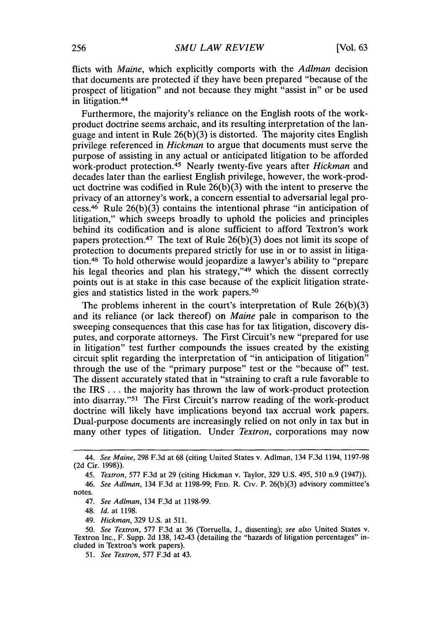flicts with *Maine,* which explicitly comports with the *AdIman* decision that documents are protected if they have been prepared "because of the prospect of litigation" and not because they might "assist in" or be used in litigation.<sup>44</sup>

Furthermore, the majority's reliance on the English roots of the workproduct doctrine seems archaic, and its resulting interpretation of the language and intent in Rule **26(b)(3)** is distorted. The majority cites English privilege referenced in *Hickman* to argue that documents must serve the purpose of assisting in any actual or anticipated litigation to be afforded work-product protection.<sup>45</sup> Nearly twenty-five years after *Hickman* and decades later than the earliest English privilege, however, the work-product doctrine was codified in Rule **26(b)(3)** with the intent to preserve the privacy of an attorney's work, a concern essential to adversarial legal process.<sup>46</sup> Rule 26(b)(3) contains the intentional phrase "in anticipation of litigation," which sweeps broadly to uphold the policies and principles behind its codification and is alone sufficient to afford Textron's work papers protection.<sup>47</sup> The text of Rule  $26(b)(3)$  does not limit its scope of protection to documents prepared strictly for use in or to assist in litigation.48 To hold otherwise would jeopardize a lawyer's ability to "prepare his legal theories and plan his strategy,"<sup>49</sup> which the dissent correctly points out is at stake in this case because of the explicit litigation strategies and statistics listed in the work papers.<sup>50</sup>

The problems inherent in the court's interpretation of Rule **26(b)(3)** and its reliance (or lack thereof) on *Maine* pale in comparison to the sweeping consequences that this case has for tax litigation, discovery disputes, and corporate attorneys. The First Circuit's new "prepared for use in litigation" test further compounds the issues created **by** the existing circuit split regarding the interpretation of "in anticipation of litigation" through the use of the "primary purpose" test or the "because of" test. The dissent accurately stated that in "straining to craft a rule favorable to the IRS **...** the majority has thrown the law of work-product protection into disarray."51 The First Circuit's narrow reading of the work-product doctrine will likely have implications beyond tax accrual work papers. Dual-purpose documents are increasingly relied on not only in tax but in many other types of litigation. Under *Textron,* corporations may now

48. *Id.* at **1198.**

*49. Hickman,* **329 U.S.** at **511.**

*<sup>44.</sup> See Maine,* **298 F.3d** at **68** (citing United States v. Adlman, 134 **F.3d** 1194, **1197-98 (2d** Cir. **1998)).**

<sup>45.</sup> *Textron,* **577 F.3d** at **29** (citing Hickman v. Taylor, **329 U.S.** 495, **510** n.9 (1947)).

<sup>46.</sup> *See Adlman,* 134 **F.3d** at **1198-99;** FED. R. Civ. P. **26(b)(3)** advisory committee's notes.

<sup>47.</sup> *See Adlman,* 134 **F.3d** at **1198-99.**

**<sup>50.</sup>** *See Textron,* **577 F.3d** at **36** (Torruella, **J.,** dissenting); *see also* United States v. Textron Inc., F. Supp. **2d 138,** 142-43 (detailing the "hazards of litigation percentages" included in Textron's work papers).

*<sup>51.</sup> See Textron,* **577 F.3d** at 43.